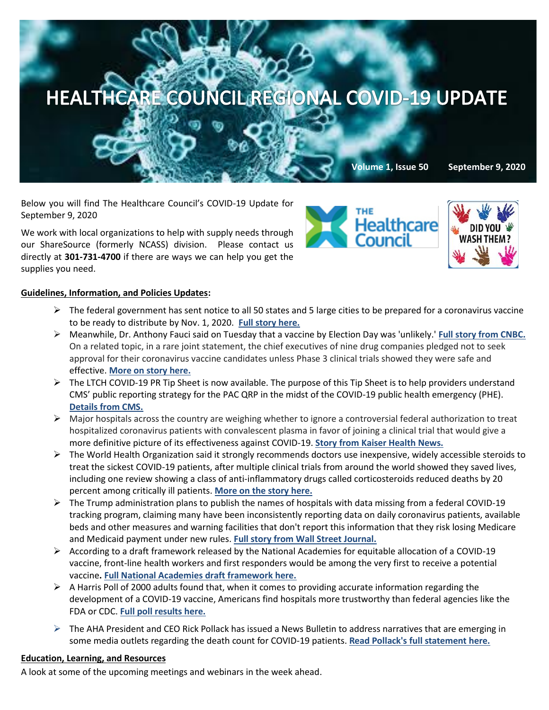

Below you will find The Healthcare Council's COVID-19 Update for September 9, 2020

We work with local organizations to help with supply needs through our ShareSource (formerly NCASS) division. Please contact us directly at **301-731-4700** if there are ways we can help you get the supplies you need.





## **Guidelines, Information, and Policies Updates:**

- $\triangleright$  The federal government has sent notice to all 50 states and 5 large cities to be prepared for a coronavirus vaccine to be ready to distribute by Nov. 1, 2020. **[Full story here.](https://www.modernhealthcare.com/government/cdc-tells-states-be-ready-distribute-vaccines-nov-1?utm_source=modern-healthcare-covid-19-coverage&utm_medium=email&utm_campaign=20200902&utm_content=article1-headline)**
- ➢ Meanwhile, Dr. Anthony Fauci said on Tuesday that a vaccine by Election Day was 'unlikely.' **[Full story from CNBC.](https://www.cnbc.com/2020/09/08/coronavirus-vaccine-dr-fauci-says-its-unlikely-it-will-be-ready-by-us-election.html)** On a related topic, in a rare joint statement, the chief executives of nine drug companies pledged not to seek approval for their coronavirus vaccine candidates unless Phase 3 clinical trials showed they were safe and effective. **[More on story here.](https://www.washingtonpost.com/business/2020/09/08/vaccine-safety-pledge-ceos/?mkt_tok=eyJpIjoiTUdNek1tRmxaVGhsTkRCaiIsInQiOiJkVnk2eW1ScEROMEFnYlYyVitPZEFSYzExdTVMNGwxQnEwcUQ2MFc0T0ZobDluOVJMckFmQU5lWnVZRmJHU3VMdWVmOHpFaUJReHhZcFRDdTY1NkhtSFE2TEZxT05iVWRBQkg3c2tFRjNLeFVNTmNFVzZpVWFaazhuXC9Ld0dmN1wvIn0=)**
- $\triangleright$  The LTCH COVID-19 PR Tip Sheet is now available. The purpose of this Tip Sheet is to help providers understand CMS' public reporting strategy for the PAC QRP in the midst of the COVID-19 public health emergency (PHE). **[Details from CMS.](https://www.cms.gov/Medicare/Quality-Initiatives-Patient-Assessment-Instruments/NursingHomeQualityInits/Skilled-Nursing-Facility-Quality-Reporting-Program/SNF-Quality-Reporting-Program-Training)**
- ➢ Major hospitals across the country are weighing whether to ignore a controversial federal authorization to treat hospitalized coronavirus patients with convalescent plasma in favor of joining a clinical trial that would give a more definitive picture of its effectiveness against COVID-19. **[Story from Kaiser Health News.](https://khn.org/news/dozens-of-u-s-hospitals-poised-to-defy-fdas-directive-on-covid-plasma/?mkt_tok=eyJpIjoiT0RJMlpEWm1aVFV5WmpReSIsInQiOiJ0eWk1UVRGdW1yV01iY1dYUG1NVTRZUnRGd3pGN2doUUwzNGNuaFVJVHVwN0lqczRwOWlrKzFORExnSktUdDhjaDA3bVFcLzlTUmdGWE5hTFwvU2RwYjUxN3l3NmZnSm9rT1RPbmk4RExCNXJ3ZG15U2dBcGFLUFVLRVAyZGZ6U21mIn0=)**
- $\triangleright$  The World Health Organization said it strongly recommends doctors use inexpensive, widely accessible steroids to treat the sickest COVID-19 patients, after multiple clinical trials from around the world showed they saved lives, including one review showing a class of anti-inflammatory drugs called corticosteroids reduced deaths by 20 percent among critically ill patients. **[More on the story here.](https://www.washingtonpost.com/health/2020/09/02/steroids-covid-19-coronavirus/?mkt_tok=eyJpIjoiT0RJMlpEWm1aVFV5WmpReSIsInQiOiJ0eWk1UVRGdW1yV01iY1dYUG1NVTRZUnRGd3pGN2doUUwzNGNuaFVJVHVwN0lqczRwOWlrKzFORExnSktUdDhjaDA3bVFcLzlTUmdGWE5hTFwvU2RwYjUxN3l3NmZnSm9rT1RPbmk4RExCNXJ3ZG15U2dBcGFLUFVLRVAyZGZ6U21mIn0=)**
- ➢ The Trump administration plans to publish the names of hospitals with data missing from a federal COVID-19 tracking program, claiming many have been inconsistently reporting data on daily coronavirus patients, available beds and other measures and warning facilities that don't report this information that they risk losing Medicare and Medicaid payment under new rules. **[Full story from Wall Street Journal.](https://www.wsj.com/articles/white-house-to-target-hospitals-for-uneven-covid-19-data-reporting-11599044400?mkt_tok=eyJpIjoiTWpZd1pHTmpOelpoT1dWaCIsInQiOiJcL1wvdTUzUzNGTVJXNlF1NUNDQUhSalVCMVg5TytpMXN6STY5TDYwWnVqeVNcLzRvenFGeGZKOXVoS1JxZlFaeHlobjJ3RmRIdFJhajNkTWhnRzhOOUNlQTFEUE9obWdRN3FLcE9tVGVJRDVLRGpaN3NxcWlaK0Y3OWtRa0dcLzFJeWgifQ==)**
- ➢ According to a draft framework released by the National Academies for equitable allocation of a COVID-19 vaccine, front-line health workers and first responders would be among the very first to receive a potential vaccine**. [Full National Academies draft framework here.](https://www.nationalacademies.org/news/2020/09/national-academies-release-draft-framework-for-equitable-allocation-of-a-covid-19-vaccine-seek-public-comment)**
- ➢ A Harris Poll of 2000 adults found that, when it comes to providing accurate information regarding the development of a COVID-19 vaccine, Americans find hospitals more trustworthy than federal agencies like the FDA or CDC. **[Full poll results here.](https://theharrispoll.com/the-harris-poll-covid19-tracker/)**
- $\triangleright$  The AHA President and CEO Rick Pollack has issued a News Bulletin to address narratives that are emerging in some media outlets regarding the death count for COVID-19 patients. **[Read Pollack's full statement here.](https://contentsharing.net/actions/email_web_version.cfm?ep=Bdhtp-zVuqFkgQiV6-lxty0f-nrLBJWzuTngPvD-5dXjE7gRDFQDpZ_HZinVjEX3mlp2AGlnvuBkjDMr9JQbDA-h6KEwmSn1vtA4HGR3s3D5vVag1Dth2YSYzswWGOiO)**

## **Education, Learning, and Resources**

A look at some of the upcoming meetings and webinars in the week ahead.